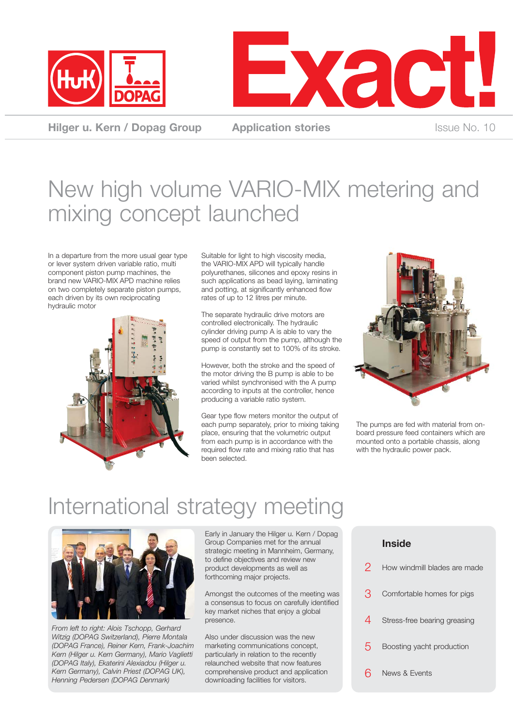



**Hilger u. Kern / Dopag Group Application stories ISSUE No. 10 ISSUE No. 10** 

# New high volume VARIO-MIX metering and mixing concept launched

In a departure from the more usual gear type or lever system driven variable ratio, multi component piston pump machines, the brand new VARIO-MIX APD machine relies on two completely separate piston pumps, each driven by its own reciprocating hydraulic motor



Suitable for light to high viscosity media, the VARIO-MIX APD will typically handle polyurethanes, silicones and epoxy resins in such applications as bead laying, laminating and potting, at significantly enhanced flow rates of up to 12 litres per minute.

The separate hydraulic drive motors are controlled electronically. The hydraulic cylinder driving pump A is able to vary the speed of output from the pump, although the pump is constantly set to 100% of its stroke.

However, both the stroke and the speed of the motor driving the B pump is able to be varied whilst synchronised with the A pump according to inputs at the controller, hence producing a variable ratio system.

Gear type flow meters monitor the output of each pump separately, prior to mixing taking place, ensuring that the volumetric output from each pump is in accordance with the required flow rate and mixing ratio that has been selected.



The pumps are fed with material from onboard pressure feed containers which are mounted onto a portable chassis, along with the hydraulic power pack.

## International strategy meeting



*From left to right: Alois Tschopp, Gerhard Witzig (DOPAG Switzerland), Pierre Montala (DOPAG France), Reiner Kern, Frank-Joachim Kern (Hilger u. Kern Germany), Mario Vaglietti (DOPAG Italy), Ekaterini Alexiadou (Hilger u. Kern Germany), Calvin Priest (DOPAG UK), Henning Pedersen (DOPAG Denmark)*

Early in January the Hilger u. Kern / Dopag Group Companies met for the annual strategic meeting in Mannheim, Germany, to define objectives and review new product developments as well as forthcoming major projects.

Amongst the outcomes of the meeting was a consensus to focus on carefully identified key market niches that enjoy a global presence.

Also under discussion was the new marketing communications concept, particularly in relation to the recently relaunched website that now features comprehensive product and application downloading facilities for visitors.

### **Inside**

| ク  | How windmill blades are made |
|----|------------------------------|
| З  | Comfortable homes for pigs   |
| 4  | Stress-free bearing greasing |
| 5. | Boosting yacht production    |
|    | <b>News &amp; Events</b>     |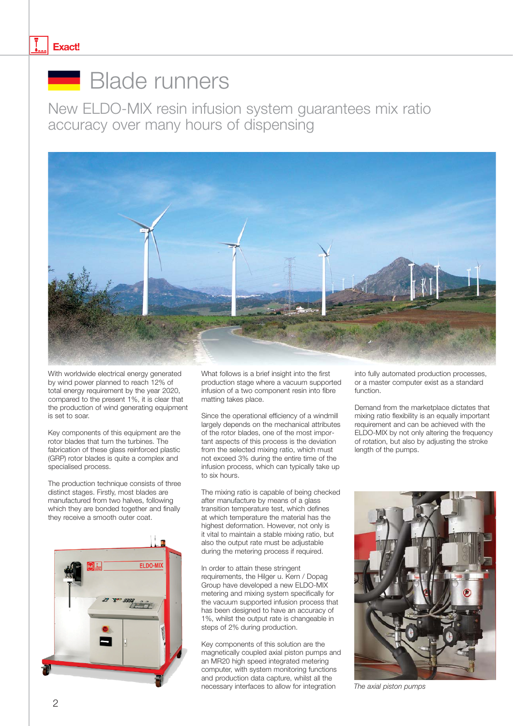#### **Exact!**

## **Blade runners**

New ELDO-MIX resin infusion system guarantees mix ratio accuracy over many hours of dispensing



With worldwide electrical energy generated by wind power planned to reach 12% of total energy requirement by the year 2020, compared to the present 1%, it is clear that the production of wind generating equipment is set to soar.

Key components of this equipment are the rotor blades that turn the turbines. The fabrication of these glass reinforced plastic (GRP) rotor blades is quite a complex and specialised process.

The production technique consists of three distinct stages. Firstly, most blades are manufactured from two halves, following which they are bonded together and finally they receive a smooth outer coat.



What follows is a brief insight into the first production stage where a vacuum supported infusion of a two component resin into fibre matting takes place.

Since the operational efficiency of a windmill largely depends on the mechanical attributes of the rotor blades, one of the most important aspects of this process is the deviation from the selected mixing ratio, which must not exceed 3% during the entire time of the infusion process, which can typically take up to six hours.

The mixing ratio is capable of being checked after manufacture by means of a glass transition temperature test, which defines at which temperature the material has the highest deformation. However, not only is it vital to maintain a stable mixing ratio, but also the output rate must be adjustable during the metering process if required.

In order to attain these stringent requirements, the Hilger u. Kern / Dopag Group have developed a new ELDO-MIX metering and mixing system specifically for the vacuum supported infusion process that has been designed to have an accuracy of 1%, whilst the output rate is changeable in steps of 2% during production.

Key components of this solution are the magnetically coupled axial piston pumps and an MR20 high speed integrated metering computer, with system monitoring functions and production data capture, whilst all the necessary interfaces to allow for integration

into fully automated production processes, or a master computer exist as a standard function.

Demand from the marketplace dictates that mixing ratio flexibility is an equally important requirement and can be achieved with the ELDO-MIX by not only altering the frequency of rotation, but also by adjusting the stroke length of the pumps.



*The axial piston pumps*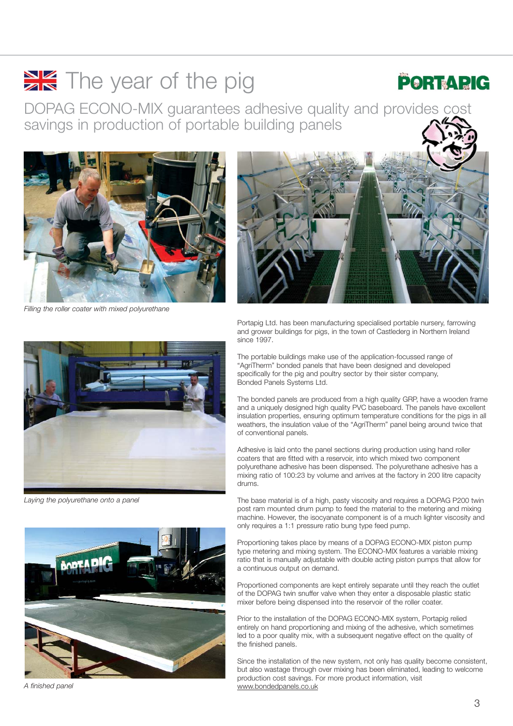# $\frac{1}{2}$  The year of the pig

### PORTADIC

DOPAG ECONO-MIX guarantees adhesive quality and provides cost savings in production of portable building panels



*Filling the roller coater with mixed polyurethane*



Portapig Ltd. has been manufacturing specialised portable nursery, farrowing and grower buildings for pigs, in the town of Castlederg in Northern Ireland since 1997.



*Laying the polyurethane onto a panel*



*A finished panel*

The portable buildings make use of the application-focussed range of "AgriTherm" bonded panels that have been designed and developed specifically for the pig and poultry sector by their sister company, Bonded Panels Systems Ltd.

The bonded panels are produced from a high quality GRP, have a wooden frame and a uniquely designed high quality PVC baseboard. The panels have excellent insulation properties, ensuring optimum temperature conditions for the pigs in all weathers, the insulation value of the "AgriTherm" panel being around twice that of conventional panels.

Adhesive is laid onto the panel sections during production using hand roller coaters that are fitted with a reservoir, into which mixed two component polyurethane adhesive has been dispensed. The polyurethane adhesive has a mixing ratio of 100:23 by volume and arrives at the factory in 200 litre capacity drums.

The base material is of a high, pasty viscosity and requires a DOPAG P200 twin post ram mounted drum pump to feed the material to the metering and mixing machine. However, the isocyanate component is of a much lighter viscosity and only requires a 1:1 pressure ratio bung type feed pump.

Proportioning takes place by means of a DOPAG ECONO-MIX piston pump type metering and mixing system. The ECONO-MIX features a variable mixing ratio that is manually adjustable with double acting piston pumps that allow for a continuous output on demand.

Proportioned components are kept entirely separate until they reach the outlet of the DOPAG twin snuffer valve when they enter a disposable plastic static mixer before being dispensed into the reservoir of the roller coater.

Prior to the installation of the DOPAG ECONO-MIX system, Portapig relied entirely on hand proportioning and mixing of the adhesive, which sometimes led to a poor quality mix, with a subsequent negative effect on the quality of the finished panels.

Since the installation of the new system, not only has quality become consistent, but also wastage through over mixing has been eliminated, leading to welcome production cost savings. For more product information, visit www.bondedpanels.co.uk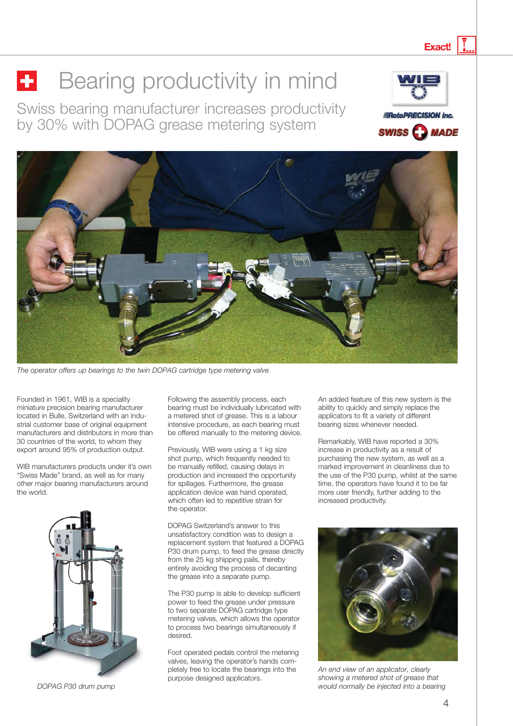# **Bearing productivity in mind**

Swiss bearing manufacturer increases productivity by 30% with DOPAG grease metering system







*The operator offers up bearings to the twin DOPAG cartridge type metering valves The operator offers up bearings to the twin DOPAG cartridge type metering valve*

Founded in 1961, WIB is a speciality miniature precision bearing manufacturer located in Bulle, Switzerland with an industrial customer base of original equipment manufacturers and distributors in more than 30 countries of the world, to whom they export around 95% of production output.

WIB manufacturers products under it's own "Swiss Made" brand, as well as for many other major bearing manufacturers around the world.



*DOPAG P30 drum pump*

Following the assembly process, each bearing must be individually lubricated with a metered shot of grease. This is a labour intensive procedure, as each bearing must be offered manually to the metering device.

Previously, WIB were using a 1 kg size shot pump, which frequently needed to be manually refilled, causing delays in production and increased the opportunity for spillages. Furthermore, the grease application device was hand operated, which often led to repetitive strain for the operator.

DOPAG Switzerland's answer to this unsatisfactory condition was to design a replacement system that featured a DOPAG P30 drum pump, to feed the grease directly from the 25 kg shipping pails, thereby entirely avoiding the process of decanting the grease into a separate pump.

The P30 pump is able to develop sufficient power to feed the grease under pressure to two separate DOPAG cartridge type metering valves, which allows the operator to process two bearings simultaneously if desired.

Foot operated pedals control the metering valves, leaving the operator's hands completely free to locate the bearings into the purpose designed applicators.

An added feature of this new system is the ability to quickly and simply replace the applicators to fit a variety of different bearing sizes whenever needed.

Remarkably, WIB have reported a 30% increase in productivity as a result of purchasing the new system, as well as a marked improvement in cleanliness due to the use of the P30 pump, whilst at the same time, the operators have found it to be far more user friendly, further adding to the increased productivity.



*An end view of an applicator, clearly showing a metered shot of grease that would normally be injected into a bearing*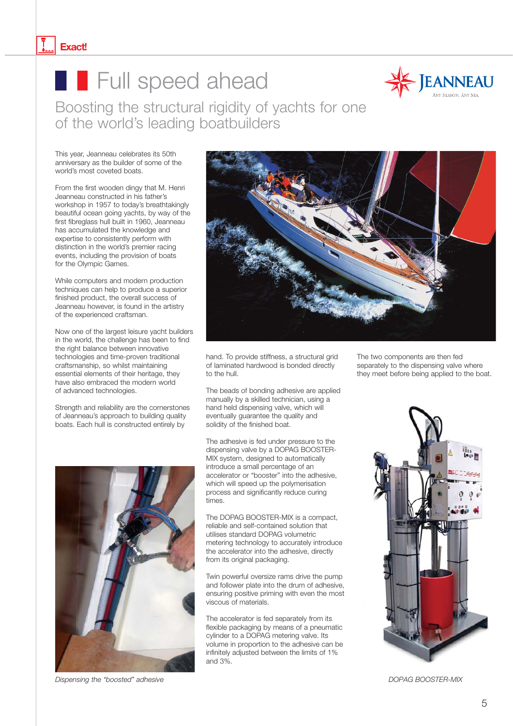#### **Exact!**

## **Full speed ahead**



Boosting the structural rigidity of yachts for one of the world's leading boatbuilders

This year, Jeanneau celebrates its 50th anniversary as the builder of some of the world's most coveted boats.

From the first wooden dingy that M. Henri Jeanneau constructed in his father's workshop in 1957 to today's breathtakingly beautiful ocean going yachts, by way of the first fibreglass hull built in 1960, Jeanneau has accumulated the knowledge and expertise to consistently perform with distinction in the world's premier racing events, including the provision of boats for the Olympic Games.

While computers and modern production techniques can help to produce a superior finished product, the overall success of Jeanneau however, is found in the artistry of the experienced craftsman.

Now one of the largest leisure yacht builders in the world, the challenge has been to find the right balance between innovative technologies and time-proven traditional craftsmanship, so whilst maintaining essential elements of their heritage, they have also embraced the modern world of advanced technologies.

Strength and reliability are the cornerstones of Jeanneau's approach to building quality boats. Each hull is constructed entirely by





hand. To provide stiffness, a structural grid of laminated hardwood is bonded directly to the hull.

The beads of bonding adhesive are applied manually by a skilled technician, using a hand held dispensing valve, which will eventually guarantee the quality and solidity of the finished boat.

The adhesive is fed under pressure to the dispensing valve by a DOPAG BOOSTER-MIX system, designed to automatically introduce a small percentage of an accelerator or "booster" into the adhesive, which will speed up the polymerisation process and significantly reduce curing times.

The DOPAG BOOSTER-MIX is a compact, reliable and self-contained solution that utilises standard DOPAG volumetric metering technology to accurately introduce the accelerator into the adhesive, directly from its original packaging.

Twin powerful oversize rams drive the pump and follower plate into the drum of adhesive, ensuring positive priming with even the most viscous of materials.

The accelerator is fed separately from its flexible packaging by means of a pneumatic cylinder to a DOPAG metering valve. Its volume in proportion to the adhesive can be infinitely adjusted between the limits of 1% and 3%.

The two components are then fed separately to the dispensing valve where they meet before being applied to the boat.



*DOPAG BOOSTER-MIX*

*Dispensing the "boosted" adhesive*